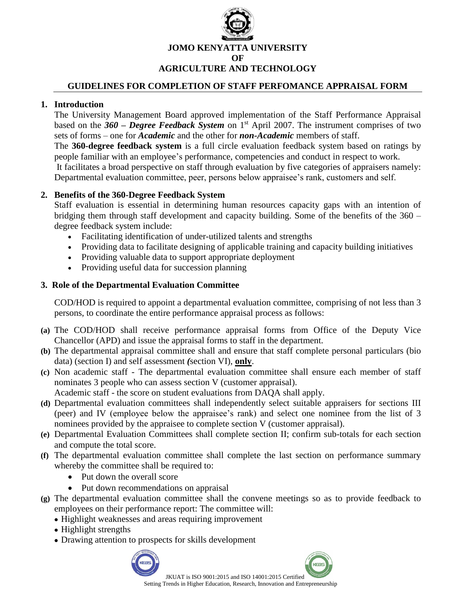

#### **GUIDELINES FOR COMPLETION OF STAFF PERFOMANCE APPRAISAL FORM**

#### **1. Introduction**

The University Management Board approved implementation of the Staff Performance Appraisal based on the 360 – Degree Feedback System on 1<sup>st</sup> April 2007. The instrument comprises of two sets of forms – one for *Academic* and the other for *non-Academic* members of staff.

The **360-degree feedback system** is a full circle evaluation feedback system based on ratings by people familiar with an employee's performance, competencies and conduct in respect to work.

It facilitates a broad perspective on staff through evaluation by five categories of appraisers namely: Departmental evaluation committee, peer, persons below appraisee's rank, customers and self.

#### **2. Benefits of the 360-Degree Feedback System**

Staff evaluation is essential in determining human resources capacity gaps with an intention of bridging them through staff development and capacity building. Some of the benefits of the 360 – degree feedback system include:

- Facilitating identification of under-utilized talents and strengths
- Providing data to facilitate designing of applicable training and capacity building initiatives
- Providing valuable data to support appropriate deployment
- Providing useful data for succession planning

#### **3. Role of the Departmental Evaluation Committee**

COD/HOD is required to appoint a departmental evaluation committee, comprising of not less than 3 persons, to coordinate the entire performance appraisal process as follows:

- **(a)** The COD/HOD shall receive performance appraisal forms from Office of the Deputy Vice Chancellor (APD) and issue the appraisal forms to staff in the department.
- **(b)** The departmental appraisal committee shall and ensure that staff complete personal particulars (bio data) (section I) and self assessment *(*section VI), **only**.
- **(c)** Non academic staff The departmental evaluation committee shall ensure each member of staff nominates 3 people who can assess section V (customer appraisal).

Academic staff - the score on student evaluations from DAQA shall apply.

- **(d)** Departmental evaluation committees shall independently select suitable appraisers for sections III (peer) and IV (employee below the appraisee's rank) and select one nominee from the list of 3 nominees provided by the appraisee to complete section V (customer appraisal).
- **(e)** Departmental Evaluation Committees shall complete section II; confirm sub-totals for each section and compute the total score.
- **(f)** The departmental evaluation committee shall complete the last section on performance summary whereby the committee shall be required to:
	- Put down the overall score
	- Put down recommendations on appraisal
- **(g)** The departmental evaluation committee shall the convene meetings so as to provide feedback to employees on their performance report: The committee will:
	- Highlight weaknesses and areas requiring improvement
	- Highlight strengths
	- Drawing attention to prospects for skills development





 JKUAT is ISO 9001:2015 and ISO 14001:2015 Certified Setting Trends in Higher Education, Research, Innovation and Entrepreneurship